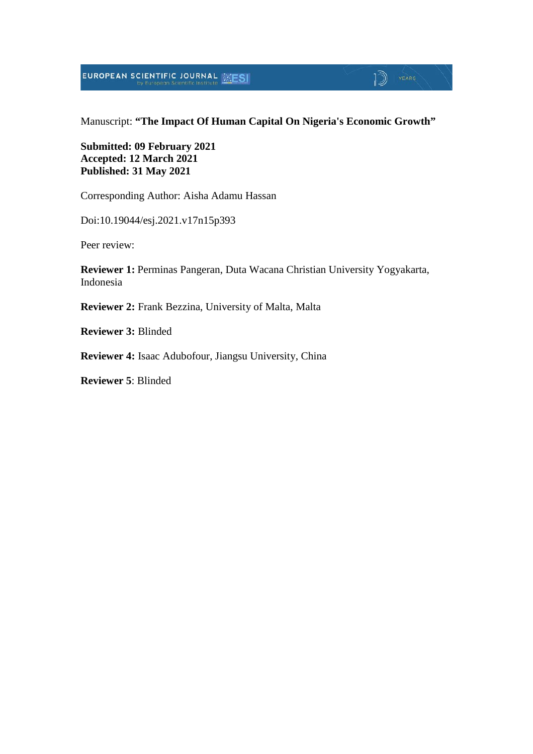**EUROPEAN SCIENTIFIC JOURNAL EXESI** 

### $\mathbb{D}$  YEARS

#### Manuscript: **"The Impact Of Human Capital On Nigeria's Economic Growth"**

#### **Submitted: 09 February 2021 Accepted: 12 March 2021 Published: 31 May 2021**

Corresponding Author: Aisha Adamu Hassan

Doi:10.19044/esj.2021.v17n15p393

Peer review:

**Reviewer 1:** Perminas Pangeran, Duta Wacana Christian University Yogyakarta, Indonesia

**Reviewer 2:** Frank Bezzina, University of Malta, Malta

**Reviewer 3:** Blinded

**Reviewer 4:** Isaac Adubofour, Jiangsu University, China

**Reviewer 5**: Blinded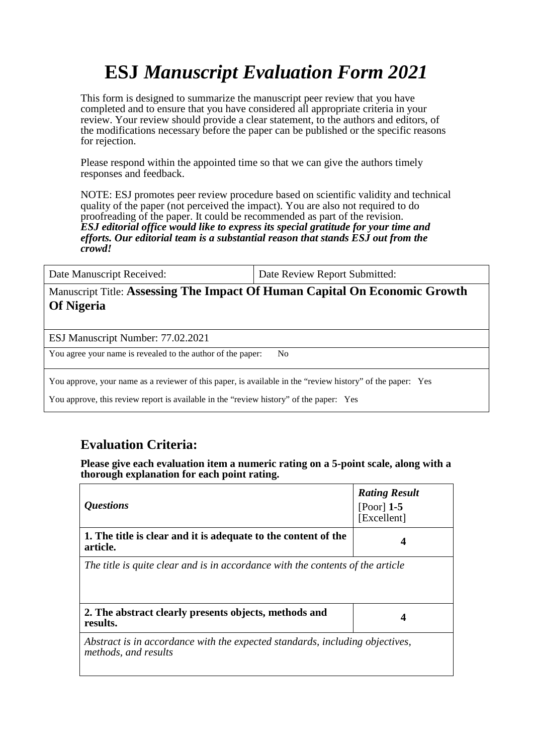# **ESJ** *Manuscript Evaluation Form 2021*

This form is designed to summarize the manuscript peer review that you have completed and to ensure that you have considered all appropriate criteria in your review. Your review should provide a clear statement, to the authors and editors, of the modifications necessary before the paper can be published or the specific reasons for rejection.

Please respond within the appointed time so that we can give the authors timely responses and feedback.

NOTE: ESJ promotes peer review procedure based on scientific validity and technical quality of the paper (not perceived the impact). You are also not required to do proofreading of the paper. It could be recommended as part of the revision. *ESJ editorial office would like to express its special gratitude for your time and efforts. Our editorial team is a substantial reason that stands ESJ out from the crowd!* 

Date Manuscript Received: <br>  $\begin{array}{c} \hline \text{Date Review Report Submitted:} \end{array}$ 

Manuscript Title: **Assessing The Impact Of Human Capital On Economic Growth Of Nigeria**

ESJ Manuscript Number: 77.02.2021

You agree your name is revealed to the author of the paper: No

You approve, your name as a reviewer of this paper, is available in the "review history" of the paper: Yes

You approve, this review report is available in the "review history" of the paper: Yes

#### **Evaluation Criteria:**

**Please give each evaluation item a numeric rating on a 5-point scale, along with a thorough explanation for each point rating.**

| <i><b>Questions</b></i>                                                                              | <b>Rating Result</b><br>$[Poor]$ 1-5<br>[Excellent] |
|------------------------------------------------------------------------------------------------------|-----------------------------------------------------|
| 1. The title is clear and it is adequate to the content of the<br>article.                           | 4                                                   |
| The title is quite clear and is in accordance with the contents of the article                       |                                                     |
| 2. The abstract clearly presents objects, methods and<br>results.                                    | 4                                                   |
| Abstract is in accordance with the expected standards, including objectives,<br>methods, and results |                                                     |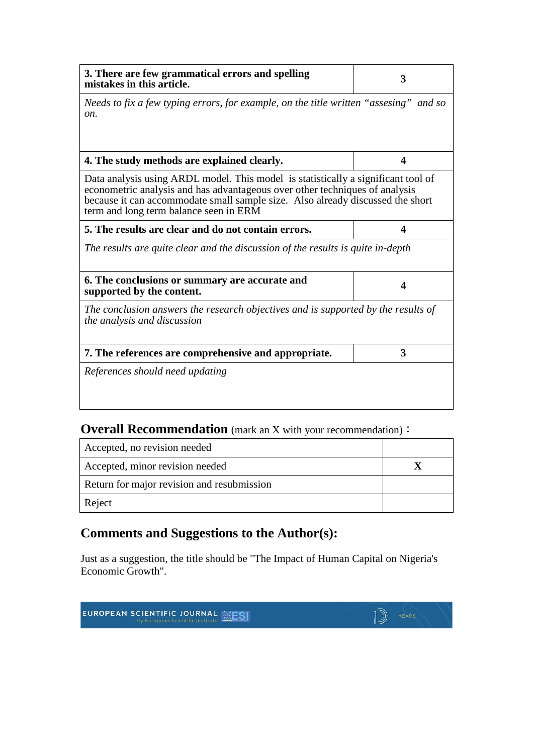| 3. There are few grammatical errors and spelling<br>mistakes in this article.                                                                                                                                                                                                                | 3                    |  |
|----------------------------------------------------------------------------------------------------------------------------------------------------------------------------------------------------------------------------------------------------------------------------------------------|----------------------|--|
| Needs to fix a few typing errors, for example, on the title written "assesing" and so<br>on.                                                                                                                                                                                                 |                      |  |
| 4. The study methods are explained clearly.                                                                                                                                                                                                                                                  | $\blacktriangleleft$ |  |
| Data analysis using ARDL model. This model is statistically a significant tool of<br>econometric analysis and has advantageous over other techniques of analysis<br>because it can accommodate small sample size. Also already discussed the short<br>term and long term balance seen in ERM |                      |  |
| 5. The results are clear and do not contain errors.                                                                                                                                                                                                                                          | 4                    |  |
| The results are quite clear and the discussion of the results is quite in-depth                                                                                                                                                                                                              |                      |  |
| 6. The conclusions or summary are accurate and<br>supported by the content.                                                                                                                                                                                                                  | 4                    |  |
| The conclusion answers the research objectives and is supported by the results of<br>the analysis and discussion                                                                                                                                                                             |                      |  |
| 7. The references are comprehensive and appropriate.                                                                                                                                                                                                                                         | 3                    |  |
| References should need updating                                                                                                                                                                                                                                                              |                      |  |

### **Overall Recommendation** (mark an X with your recommendation):

| Accepted, no revision needed               |  |
|--------------------------------------------|--|
| Accepted, minor revision needed            |  |
| Return for major revision and resubmission |  |
| Reject                                     |  |

## **Comments and Suggestions to the Author(s):**

Just as a suggestion, the title should be "The Impact of Human Capital on Nigeria's Economic Growth".

|  | <b>EUROPEAN SCIENTIFIC JOURNAL SESI</b> | YEARS |
|--|-----------------------------------------|-------|
|--|-----------------------------------------|-------|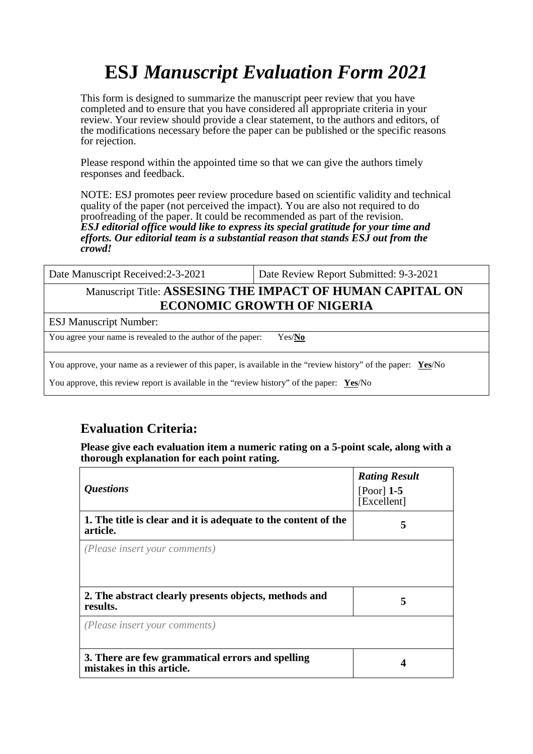# **ESJ** *Manuscript Evaluation Form 2021*

This form is designed to summarize the manuscript peer review that you have completed and to ensure that you have considered all appropriate criteria in your review. Your review should provide a clear statement, to the authors and editors, of the modifications necessary before the paper can be published or the specific reasons for rejection.

Please respond within the appointed time so that we can give the authors timely responses and feedback.

NOTE: ESJ promotes peer review procedure based on scientific validity and technical quality of the paper (not perceived the impact). You are also not required to do proofreading of the paper. It could be recommended as part of the revision. *ESJ editorial office would like to express its special gratitude for your time and efforts. Our editorial team is a substantial reason that stands ESJ out from the crowd!* 

#### Manuscript Title: **ASSESING THE IMPACT OF HUMAN CAPITAL ON ECONOMIC GROWTH OF NIGERIA**

ESJ Manuscript Number:

You agree your name is revealed to the author of the paper: Yes/**No**

You approve, your name as a reviewer of this paper, is available in the "review history" of the paper: **Yes**/No

You approve, this review report is available in the "review history" of the paper: **Yes**/No

#### **Evaluation Criteria:**

**Please give each evaluation item a numeric rating on a 5-point scale, along with a thorough explanation for each point rating.**

| <i><b>Questions</b></i>                                                       | <b>Rating Result</b><br>$[Poor]$ 1-5<br>[Excellent] |
|-------------------------------------------------------------------------------|-----------------------------------------------------|
| 1. The title is clear and it is adequate to the content of the<br>article.    | 5                                                   |
| (Please insert your comments)                                                 |                                                     |
| 2. The abstract clearly presents objects, methods and<br>results.             | 5                                                   |
| (Please insert your comments)                                                 |                                                     |
| 3. There are few grammatical errors and spelling<br>mistakes in this article. |                                                     |